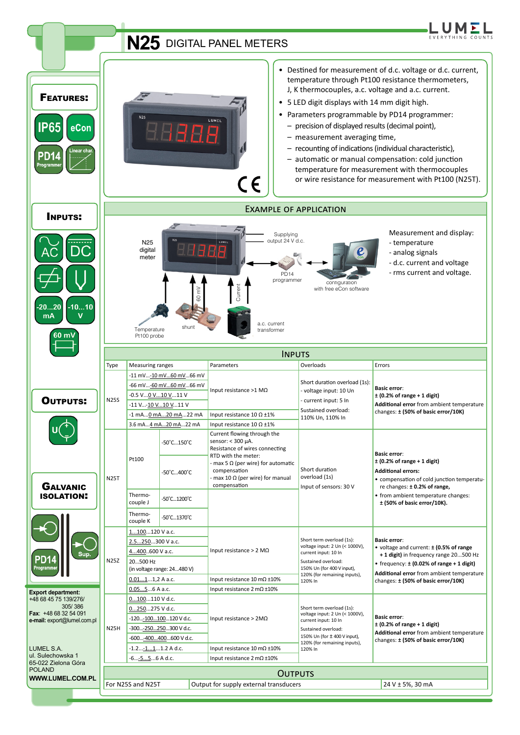|                                                                      |                                                                                             |                                                                                                                                                                                              |                                           | N25 DIGITAL PANEL METERS                                                                                                                                                                                                                   |                                                                                                                                                                          | EVERYTHING COUNT                                                                                                                                                                                                                                                                                                                                                                                                                                     |  |
|----------------------------------------------------------------------|---------------------------------------------------------------------------------------------|----------------------------------------------------------------------------------------------------------------------------------------------------------------------------------------------|-------------------------------------------|--------------------------------------------------------------------------------------------------------------------------------------------------------------------------------------------------------------------------------------------|--------------------------------------------------------------------------------------------------------------------------------------------------------------------------|------------------------------------------------------------------------------------------------------------------------------------------------------------------------------------------------------------------------------------------------------------------------------------------------------------------------------------------------------------------------------------------------------------------------------------------------------|--|
| <b>FEATURES:</b><br><b>IP65</b><br>eCon<br><b>PD14</b><br>Programmer |                                                                                             | <b>N25</b>                                                                                                                                                                                   |                                           | LUMEL<br>B<br>$\epsilon$                                                                                                                                                                                                                   | • 5 LED digit displays with 14 mm digit high.<br>- precision of displayed results (decimal point),<br>- measurement averaging time,                                      | • Destined for measurement of d.c. voltage or d.c. current,<br>temperature through Pt100 resistance thermometers,<br>J, K thermocouples, a.c. voltage and a.c. current.<br>• Parameters programmable by PD14 programmer:<br>- recounting of indications (individual characteristic),<br>- automatic or manual compensation: cold junction<br>temperature for measurement with thermocouples<br>or wire resistance for measurement with Pt100 (N25T). |  |
| <b>INPUTS:</b>                                                       |                                                                                             | <b>EXAMPLE OF APPLICATION</b>                                                                                                                                                                |                                           |                                                                                                                                                                                                                                            |                                                                                                                                                                          |                                                                                                                                                                                                                                                                                                                                                                                                                                                      |  |
| $-1010$<br>-20…20<br>mA<br>v                                         |                                                                                             | N <sub>25</sub><br>digital<br>meter<br>Temperature<br>Pt100 probe                                                                                                                            | HAAA<br>έ<br>shunt                        | Supplying<br>output 24 V d.c.<br>LUMEL<br><b>PD14</b><br>programmer<br>Current<br>a.c. current<br>transformer                                                                                                                              | configuration<br>with free eCon software                                                                                                                                 | Measurement and display:<br>- temperature<br>- analog signals<br>- d.c. current and voltage<br>- rms current and voltage.                                                                                                                                                                                                                                                                                                                            |  |
|                                                                      | <b>INPUTS</b>                                                                               |                                                                                                                                                                                              |                                           |                                                                                                                                                                                                                                            |                                                                                                                                                                          |                                                                                                                                                                                                                                                                                                                                                                                                                                                      |  |
| OUTPUTS:                                                             | Type<br><b>N25S</b>                                                                         | <b>Measuring ranges</b><br>-11 mV-10 mV60 mV66 mV<br>-66 mV-60 mV60 mV66 mV<br>-0.5 V <u>0 V10 V</u> 11 V<br>-11 V -10 V  10 V  11 V<br>-1 mA0 mA20 mA22 mA<br>3.6 mA <u>4 mA20 mA</u> 22 mA |                                           | Parameters<br>Input resistance >1 $M\Omega$<br>Input resistance $10 \Omega \pm 1\%$<br>Input resistance $10 \Omega \pm 1\%$                                                                                                                | Overloads<br>Short duration overload (1s):<br>- voltage input: 10 Un<br>current input: 5 In<br>Sustained overload:<br>110% Un, 110% In                                   | Errors<br><b>Basic error:</b><br>$±$ (0.2% of range + 1 digit)<br>Additional error from ambient temperature<br>changes: ± (50% of basic error/10K)                                                                                                                                                                                                                                                                                                   |  |
| <b>GALVANIC</b><br><b>ISOLATION:</b>                                 | <b>N25T</b>                                                                                 | Pt100                                                                                                                                                                                        | -50°C150°C<br>50°C400°C                   | Current flowing through the<br>sensor: $<$ 300 $\mu$ A.<br>Resistance of wires connecting<br>RTD with the meter:<br>- max 5 $\Omega$ (per wire) for automatic<br>compensation<br>$-$ max 10 $\Omega$ (per wire) for manual<br>compensation | Short duration<br>overload (1s)<br>Input of sensors: 30 V                                                                                                                | <b>Basic error:</b><br>$\pm$ (0.2% of range + 1 digit)<br><b>Additional errors:</b><br>• compensation of cold junction temperatu-<br>re changes: ±0.2% of range,<br>• from ambient temperature changes:<br>$±$ (50% of basic error/10K).                                                                                                                                                                                                             |  |
|                                                                      |                                                                                             | Thermo-<br>couple J<br>Thermo-                                                                                                                                                               | -50°C…1200°C                              |                                                                                                                                                                                                                                            |                                                                                                                                                                          |                                                                                                                                                                                                                                                                                                                                                                                                                                                      |  |
| Programmer                                                           | couple K<br>1100120 V a.c.<br>2.5250300 V a.c.<br>4400600 V a.c.<br><b>N25Z</b><br>20500 Hz |                                                                                                                                                                                              | 50°C1370°C<br>(in voltage range: 24480 V) | Input resistance > 2 M $\Omega$<br>Input resistance $10 \text{ m}\Omega \pm 10\%$                                                                                                                                                          | Short term overload (1s):<br>voltage input: 2 Un (< 1000V),<br>current input: 10 In<br>Sustained overload:<br>150% Un (for 400 V input),<br>120% (for remaining inputs), | <b>Basic error:</b><br>• voltage and current: ± (0.5% of range<br>+1 digit) in frequency range 20500 Hz<br>• frequency: $\pm$ (0.02% of range + 1 digit)<br>Additional error from ambient temperature                                                                                                                                                                                                                                                |  |
| <b>Export department:</b>                                            |                                                                                             | $0.0111,2$ A a.c.<br>$0.0556$ A a.c.                                                                                                                                                         |                                           | 120% In<br>Input resistance $2 \text{ mA} \pm 10\%$                                                                                                                                                                                        |                                                                                                                                                                          | changes: ± (50% of basic error/10K)                                                                                                                                                                                                                                                                                                                                                                                                                  |  |
| +48 68 45 75 139/276/<br>305/386<br>Fax: +48 68 32 54 091            |                                                                                             | 0100110 V d.c.<br>0250275 V d.c.<br>-120- <u>100100</u> 120 V d.c.<br>-300-250250300 V d.c.<br>-600 <u>-400400</u> 600 V d.c.                                                                |                                           | Input resistance > $2M\Omega$                                                                                                                                                                                                              | Short term overload (1s):<br>voltage input: 2 Un (< 1000V),<br>current input: 10 In<br>Sustained overload:<br>150% Un (for ± 400 V input),                               | <b>Basic error:</b><br>$\pm$ (0.2% of range + 1 digit)<br>Additional error from ambient temperature<br>changes: ± (50% of basic error/10K)                                                                                                                                                                                                                                                                                                           |  |
| e-mail: export@lumel.com.pl                                          | <b>N25H</b>                                                                                 |                                                                                                                                                                                              |                                           |                                                                                                                                                                                                                                            |                                                                                                                                                                          |                                                                                                                                                                                                                                                                                                                                                                                                                                                      |  |
| LUMEL S.A.<br>ul. Sulechowska 1                                      |                                                                                             | -1.2 <u>-11</u> 1.2 A d.c.<br>-6 <u>-55</u> 6 A d.c.                                                                                                                                         |                                           | Input resistance $10 \text{ m}\Omega \pm 10\%$<br>Input resistance $2 \text{ mA} \pm 10\%$                                                                                                                                                 | 120% (for remaining inputs),<br>120% In                                                                                                                                  |                                                                                                                                                                                                                                                                                                                                                                                                                                                      |  |
| 65-022 Zielona Góra<br><b>POLAND</b><br>WWW.LUMEL.COM.PL             |                                                                                             | For N25S and N25T                                                                                                                                                                            |                                           | <b>OUTPUTS</b><br>Output for supply external transducers                                                                                                                                                                                   |                                                                                                                                                                          | 24 V ± 5%, 30 mA                                                                                                                                                                                                                                                                                                                                                                                                                                     |  |